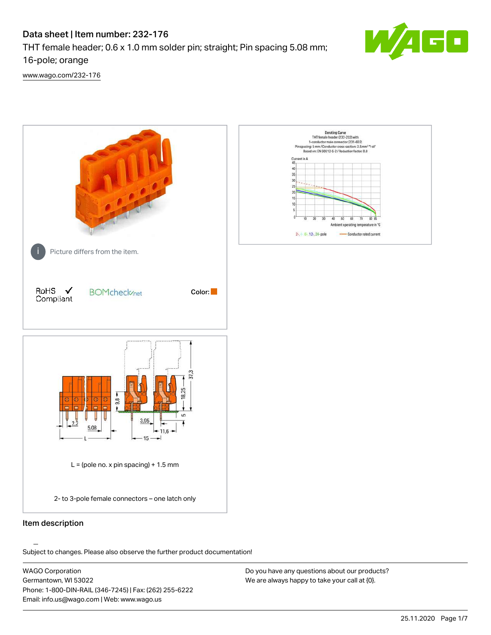# Data sheet | Item number: 232-176

THT female header; 0.6 x 1.0 mm solder pin; straight; Pin spacing 5.08 mm;

16-pole; orange

[www.wago.com/232-176](http://www.wago.com/232-176)



.<br>Subject to changes. Please also observe the further product documentation!

WAGO Corporation Germantown, WI 53022 Phone: 1-800-DIN-RAIL (346-7245) | Fax: (262) 255-6222 Email: info.us@wago.com | Web: www.wago.us

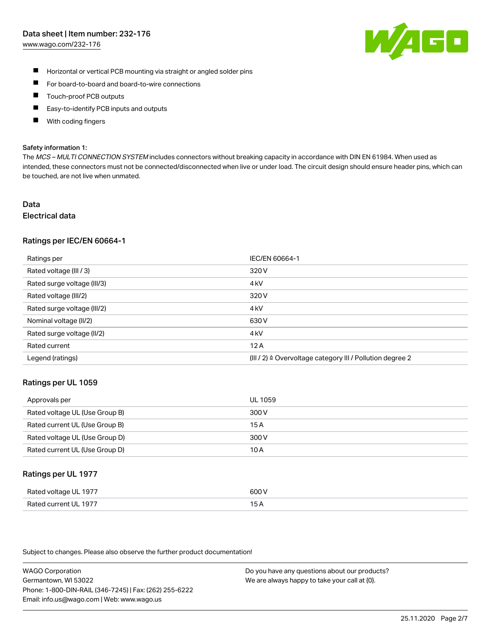#### Data sheet | Item number: 232-176

[www.wago.com/232-176](http://www.wago.com/232-176)



- $\blacksquare$ Horizontal or vertical PCB mounting via straight or angled solder pins
- $\blacksquare$ For board-to-board and board-to-wire connections
- Touch-proof PCB outputs  $\blacksquare$
- П Easy-to-identify PCB inputs and outputs
- П With coding fingers

#### Safety information 1:

The MCS - MULTI CONNECTION SYSTEM includes connectors without breaking capacity in accordance with DIN EN 61984. When used as intended, these connectors must not be connected/disconnected when live or under load. The circuit design should ensure header pins, which can be touched, are not live when unmated.

# Data

# Electrical data

#### Ratings per IEC/EN 60664-1

| Ratings per                 | IEC/EN 60664-1                                                       |
|-----------------------------|----------------------------------------------------------------------|
| Rated voltage (III / 3)     | 320 V                                                                |
| Rated surge voltage (III/3) | 4 <sub>k</sub> V                                                     |
| Rated voltage (III/2)       | 320 V                                                                |
| Rated surge voltage (III/2) | 4 <sub>k</sub> V                                                     |
| Nominal voltage (II/2)      | 630 V                                                                |
| Rated surge voltage (II/2)  | 4 <sub>k</sub> V                                                     |
| Rated current               | 12A                                                                  |
| Legend (ratings)            | (III / 2) $\triangleq$ Overvoltage category III / Pollution degree 2 |

#### Ratings per UL 1059

| Approvals per                  | UL 1059 |
|--------------------------------|---------|
| Rated voltage UL (Use Group B) | 300 V   |
| Rated current UL (Use Group B) | 15 A    |
| Rated voltage UL (Use Group D) | 300 V   |
| Rated current UL (Use Group D) | 10 A    |

#### Ratings per UL 1977

| Rated voltage UL 1977    | coo V       |
|--------------------------|-------------|
| Current UL 1977<br>Rated | ، ت<br>____ |

Subject to changes. Please also observe the further product documentation!

WAGO Corporation Germantown, WI 53022 Phone: 1-800-DIN-RAIL (346-7245) | Fax: (262) 255-6222 Email: info.us@wago.com | Web: www.wago.us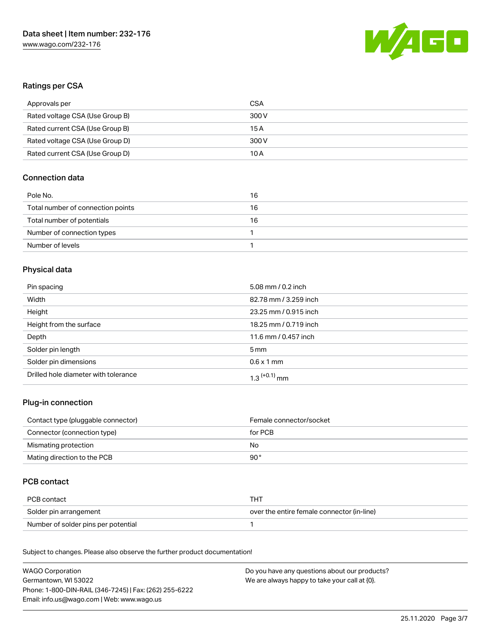

# Ratings per CSA

| Approvals per                   | CSA   |
|---------------------------------|-------|
| Rated voltage CSA (Use Group B) | 300 V |
| Rated current CSA (Use Group B) | 15 A  |
| Rated voltage CSA (Use Group D) | 300 V |
| Rated current CSA (Use Group D) | 10 A  |

# Connection data

| Pole No.                          | 16 |
|-----------------------------------|----|
| Total number of connection points | 16 |
| Total number of potentials        | 16 |
| Number of connection types        |    |
| Number of levels                  |    |

# Physical data

| Pin spacing                          | 5.08 mm / 0.2 inch         |
|--------------------------------------|----------------------------|
| Width                                | 82.78 mm / 3.259 inch      |
| Height                               | 23.25 mm / 0.915 inch      |
| Height from the surface              | 18.25 mm / 0.719 inch      |
| Depth                                | 11.6 mm / 0.457 inch       |
| Solder pin length                    | $5 \,\mathrm{mm}$          |
| Solder pin dimensions                | $0.6 \times 1$ mm          |
| Drilled hole diameter with tolerance | $1.3$ <sup>(+0.1)</sup> mm |

#### Plug-in connection

| Contact type (pluggable connector) | Female connector/socket |
|------------------------------------|-------------------------|
| Connector (connection type)        | for PCB                 |
| Mismating protection               | No                      |
| Mating direction to the PCB        | 90 °                    |

# PCB contact

| PCB contact                         | THT                                        |
|-------------------------------------|--------------------------------------------|
| Solder pin arrangement              | over the entire female connector (in-line) |
| Number of solder pins per potential |                                            |

Subject to changes. Please also observe the further product documentation! Material Data

| <b>WAGO Corporation</b>                                | Do you have any questions about our products? |
|--------------------------------------------------------|-----------------------------------------------|
| Germantown, WI 53022                                   | We are always happy to take your call at {0}. |
| Phone: 1-800-DIN-RAIL (346-7245)   Fax: (262) 255-6222 |                                               |
| Email: info.us@wago.com   Web: www.wago.us             |                                               |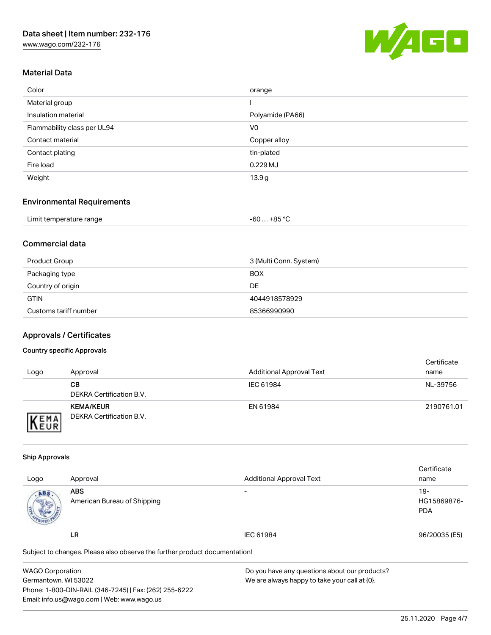[www.wago.com/232-176](http://www.wago.com/232-176)



#### Material Data

| Color                       | orange            |
|-----------------------------|-------------------|
| Material group              |                   |
| Insulation material         | Polyamide (PA66)  |
| Flammability class per UL94 | V <sub>0</sub>    |
| Contact material            | Copper alloy      |
| Contact plating             | tin-plated        |
| Fire load                   | 0.229MJ           |
| Weight                      | 13.9 <sub>g</sub> |

#### Environmental Requirements

| Limit temperature range | +85 °C<br>-60 |
|-------------------------|---------------|
|-------------------------|---------------|

# Commercial data

| Product Group         | 3 (Multi Conn. System) |
|-----------------------|------------------------|
| Packaging type        | <b>BOX</b>             |
| Country of origin     | DE                     |
| <b>GTIN</b>           | 4044918578929          |
| Customs tariff number | 85366990990            |

### Approvals / Certificates

#### Country specific Approvals

| Logo                | Approval                                     | <b>Additional Approval Text</b> | Certificate<br>name |
|---------------------|----------------------------------------------|---------------------------------|---------------------|
|                     | CВ<br>DEKRA Certification B.V.               | IEC 61984                       | NL-39756            |
| EMA<br><b>INEUR</b> | <b>KEMA/KEUR</b><br>DEKRA Certification B.V. | EN 61984                        | 2190761.01          |

#### Ship Approvals

|                                                                            |                             |                                 | Certificate   |
|----------------------------------------------------------------------------|-----------------------------|---------------------------------|---------------|
| Logo                                                                       | Approval                    | <b>Additional Approval Text</b> | name          |
| ABS.                                                                       | <b>ABS</b>                  | $\overline{\phantom{a}}$        | $19 -$        |
|                                                                            | American Bureau of Shipping |                                 | HG15869876-   |
|                                                                            |                             |                                 | <b>PDA</b>    |
|                                                                            | LR                          | IEC 61984                       | 96/20035 (E5) |
| Subject to changes. Please also observe the further product documentation! |                             |                                 |               |

| <b>WAGO Corporation</b>                                | Do you have any questions about our products? |
|--------------------------------------------------------|-----------------------------------------------|
| Germantown, WI 53022                                   | We are always happy to take your call at {0}. |
| Phone: 1-800-DIN-RAIL (346-7245)   Fax: (262) 255-6222 |                                               |
| Email: info.us@wago.com   Web: www.wago.us             |                                               |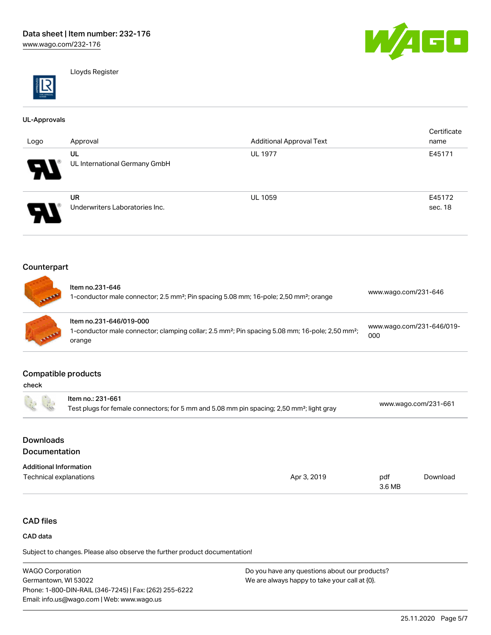

Lloyds Register

#### UL-Approvals

| Logo                  | Approval                                    | <b>Additional Approval Text</b> | Certificate<br>name |
|-----------------------|---------------------------------------------|---------------------------------|---------------------|
| W                     | UL<br>UL International Germany GmbH         | <b>UL 1977</b>                  | E45171              |
| $\boldsymbol{\theta}$ | <b>UR</b><br>Underwriters Laboratories Inc. | <b>UL 1059</b>                  | E45172<br>sec. 18   |

## Counterpart

| <b>CARL AND REAL</b> | Item no.231-646<br>1-conductor male connector; 2.5 mm <sup>2</sup> ; Pin spacing 5.08 mm; 16-pole; 2,50 mm <sup>2</sup> ; orange                             | www.wago.com/231-646             |
|----------------------|--------------------------------------------------------------------------------------------------------------------------------------------------------------|----------------------------------|
| <b>CALLADOR</b>      | Item no.231-646/019-000<br>1-conductor male connector; clamping collar; 2.5 mm <sup>2</sup> ; Pin spacing 5.08 mm; 16-pole; 2,50 mm <sup>2</sup> ;<br>orange | www.wago.com/231-646/019-<br>000 |

#### Compatible products

| check                             |                                                                                                                            |             |               |                      |
|-----------------------------------|----------------------------------------------------------------------------------------------------------------------------|-------------|---------------|----------------------|
| for a                             | Item no.: 231-661<br>Test plugs for female connectors; for 5 mm and 5.08 mm pin spacing; 2,50 mm <sup>2</sup> ; light gray |             |               | www.wago.com/231-661 |
| <b>Downloads</b><br>Documentation |                                                                                                                            |             |               |                      |
| <b>Additional Information</b>     |                                                                                                                            |             |               |                      |
| Technical explanations            |                                                                                                                            | Apr 3, 2019 | pdf<br>3.6 MB | Download             |

# CAD files

#### CAD data

Subject to changes. Please also observe the further product documentation!

WAGO Corporation Germantown, WI 53022 Phone: 1-800-DIN-RAIL (346-7245) | Fax: (262) 255-6222 Email: info.us@wago.com | Web: www.wago.us Do you have any questions about our products? We are always happy to take your call at {0}.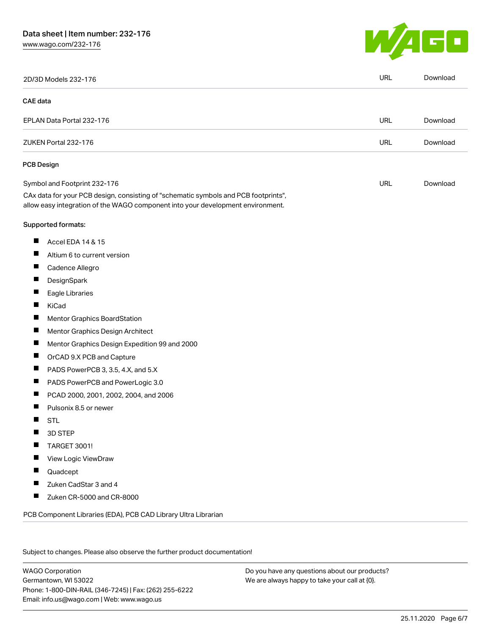# Data sheet | Item number: 232-176

[www.wago.com/232-176](http://www.wago.com/232-176)



|          | 2D/3D Models 232-176                                                                                                                                                   | <b>URL</b> | Download |
|----------|------------------------------------------------------------------------------------------------------------------------------------------------------------------------|------------|----------|
| CAE data |                                                                                                                                                                        |            |          |
|          | EPLAN Data Portal 232-176                                                                                                                                              | URL        | Download |
|          | ZUKEN Portal 232-176                                                                                                                                                   | <b>URL</b> | Download |
|          | <b>PCB Design</b>                                                                                                                                                      |            |          |
|          | Symbol and Footprint 232-176                                                                                                                                           | URL        | Download |
|          | CAx data for your PCB design, consisting of "schematic symbols and PCB footprints",<br>allow easy integration of the WAGO component into your development environment. |            |          |
|          | Supported formats:                                                                                                                                                     |            |          |
| ш        | Accel EDA 14 & 15                                                                                                                                                      |            |          |
| ш        | Altium 6 to current version                                                                                                                                            |            |          |
| ш        | Cadence Allegro                                                                                                                                                        |            |          |
|          | DesignSpark                                                                                                                                                            |            |          |
| ш        | Eagle Libraries                                                                                                                                                        |            |          |
| ш        | KiCad                                                                                                                                                                  |            |          |
|          | Mentor Graphics BoardStation                                                                                                                                           |            |          |
| ш        | Mentor Graphics Design Architect                                                                                                                                       |            |          |
| ш        | Mentor Graphics Design Expedition 99 and 2000                                                                                                                          |            |          |
| H        | OrCAD 9.X PCB and Capture                                                                                                                                              |            |          |
| ш        | PADS PowerPCB 3, 3.5, 4.X, and 5.X                                                                                                                                     |            |          |
| ш        | PADS PowerPCB and PowerLogic 3.0                                                                                                                                       |            |          |
| Ш        | PCAD 2000, 2001, 2002, 2004, and 2006                                                                                                                                  |            |          |
|          | Pulsonix 8.5 or newer                                                                                                                                                  |            |          |
| H        | <b>STL</b>                                                                                                                                                             |            |          |
|          | 3D STEP                                                                                                                                                                |            |          |
|          | <b>TARGET 3001!</b>                                                                                                                                                    |            |          |
|          | View Logic ViewDraw                                                                                                                                                    |            |          |
| ш        | Quadcept                                                                                                                                                               |            |          |
| L.       | Zuken CadStar 3 and 4                                                                                                                                                  |            |          |
| П        | Zuken CR-5000 and CR-8000                                                                                                                                              |            |          |

Subject to changes. Please also observe the further product documentation!

WAGO Corporation Germantown, WI 53022 Phone: 1-800-DIN-RAIL (346-7245) | Fax: (262) 255-6222 Email: info.us@wago.com | Web: www.wago.us